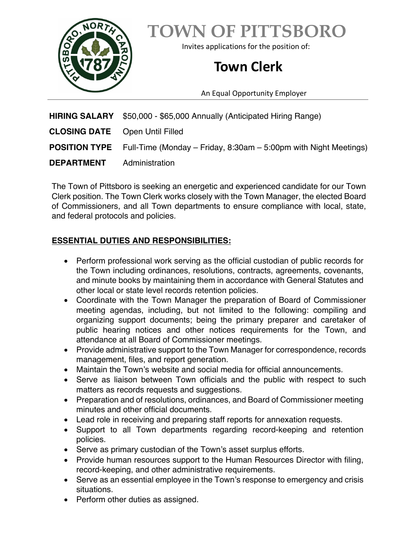

**TOWN OF PITTSBORO**

Invites applications for the position of:

# **Town Clerk**

An Equal Opportunity Employer

|                                       | HIRING SALARY \$50,000 - \$65,000 Annually (Anticipated Hiring Range)                 |
|---------------------------------------|---------------------------------------------------------------------------------------|
| <b>CLOSING DATE</b> Open Until Filled |                                                                                       |
|                                       | <b>POSITION TYPE</b> Full-Time (Monday – Friday, 8:30am – 5:00pm with Night Meetings) |
| <b>DEPARTMENT</b> Administration      |                                                                                       |

The Town of Pittsboro is seeking an energetic and experienced candidate for our Town Clerk position. The Town Clerk works closely with the Town Manager, the elected Board of Commissioners, and all Town departments to ensure compliance with local, state, and federal protocols and policies.

## **ESSENTIAL DUTIES AND RESPONSIBILITIES:**

- Perform professional work serving as the official custodian of public records for the Town including ordinances, resolutions, contracts, agreements, covenants, and minute books by maintaining them in accordance with General Statutes and other local or state level records retention policies.
- Coordinate with the Town Manager the preparation of Board of Commissioner meeting agendas, including, but not limited to the following: compiling and organizing support documents; being the primary preparer and caretaker of public hearing notices and other notices requirements for the Town, and attendance at all Board of Commissioner meetings.
- Provide administrative support to the Town Manager for correspondence, records management, files, and report generation.
- Maintain the Town's website and social media for official announcements.
- Serve as liaison between Town officials and the public with respect to such matters as records requests and suggestions.
- Preparation and of resolutions, ordinances, and Board of Commissioner meeting minutes and other official documents.
- Lead role in receiving and preparing staff reports for annexation requests.
- Support to all Town departments regarding record-keeping and retention policies.
- Serve as primary custodian of the Town's asset surplus efforts.
- Provide human resources support to the Human Resources Director with filing, record-keeping, and other administrative requirements.
- Serve as an essential employee in the Town's response to emergency and crisis situations.
- Perform other duties as assigned.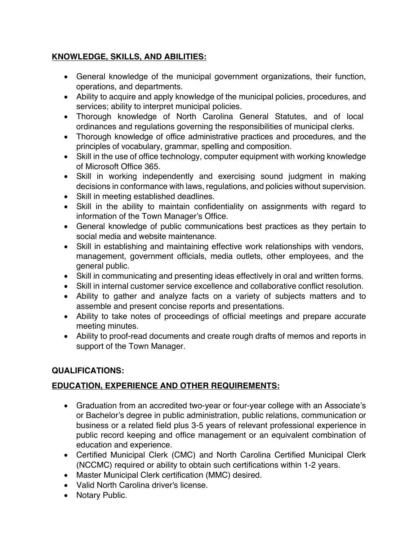### **KNOWLEDGE, SKILLS, AND ABILITIES:**

- General knowledge of the municipal government organizations, their function, operations, and departments.
- Ability to acquire and apply knowledge of the municipal policies, procedures, and services; ability to interpret municipal policies.
- Thorough knowledge of North Carolina General Statutes, and of local ordinances and regulations governing the responsibilities of municipal clerks.
- Thorough knowledge of office administrative practices and procedures, and the principles of vocabulary, grammar, spelling and composition.
- Skill in the use of office technology, computer equipment with working knowledge of Microsoft Office 365.
- Skill in working independently and exercising sound judgment in making decisions in conformance with laws, regulations, and policies without supervision.
- Skill in meeting established deadlines.
- Skill in the ability to maintain confidentiality on assignments with regard to information of the Town Manager's Office.
- General knowledge of public communications best practices as they pertain to social media and website maintenance.
- Skill in establishing and maintaining effective work relationships with vendors, management, government officials, media outlets, other employees, and the general public.
- Skill in communicating and presenting ideas effectively in oral and written forms.
- Skill in internal customer service excellence and collaborative conflict resolution.
- Ability to gather and analyze facts on a variety of subjects matters and to assemble and present concise reports and presentations.
- Ability to take notes of proceedings of official meetings and prepare accurate meeting minutes.
- Ability to proof-read documents and create rough drafts of memos and reports in support of the Town Manager.

#### **QUALIFICATIONS:**

#### **EDUCATION, EXPERIENCE AND OTHER REQUIREMENTS:**

- Graduation from an accredited two-year or four-year college with an Associate's or Bachelor's degree in public administration, public relations, communication or business or a related field plus 3-5 years of relevant professional experience in public record keeping and office management or an equivalent combination of education and experience.
- Certified Municipal Clerk (CMC) and North Carolina Certified Municipal Clerk (NCCMC) required or ability to obtain such certifications within 1-2 years.
- Master Municipal Clerk certification (MMC) desired.
- Valid North Carolina driver's license.
- Notary Public.